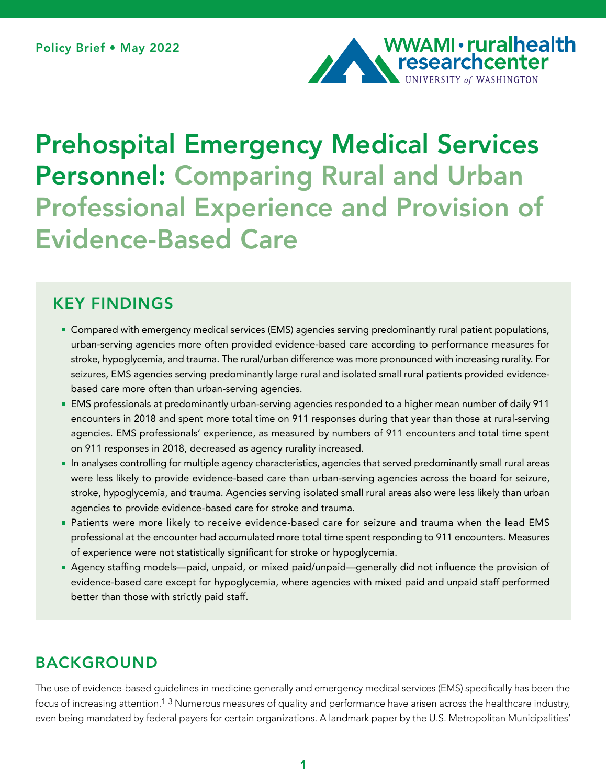

# Prehospital Emergency Medical Services Personnel: Comparing Rural and Urban Professional Experience and Provision of Evidence-Based Care

# KEY FINDINGS

- **Compared with emergency medical services (EMS) agencies serving predominantly rural patient populations,** urban-serving agencies more often provided evidence-based care according to performance measures for stroke, hypoglycemia, and trauma. The rural/urban difference was more pronounced with increasing rurality. For seizures, EMS agencies serving predominantly large rural and isolated small rural patients provided evidencebased care more often than urban-serving agencies.
- EMS professionals at predominantly urban-serving agencies responded to a higher mean number of daily 911 encounters in 2018 and spent more total time on 911 responses during that year than those at rural-serving agencies. EMS professionals' experience, as measured by numbers of 911 encounters and total time spent on 911 responses in 2018, decreased as agency rurality increased.
- In analyses controlling for multiple agency characteristics, agencies that served predominantly small rural areas were less likely to provide evidence-based care than urban-serving agencies across the board for seizure, stroke, hypoglycemia, and trauma. Agencies serving isolated small rural areas also were less likely than urban agencies to provide evidence-based care for stroke and trauma.
- Patients were more likely to receive evidence-based care for seizure and trauma when the lead EMS professional at the encounter had accumulated more total time spent responding to 911 encounters. Measures of experience were not statistically significant for stroke or hypoglycemia.
- Agency staffing models—paid, unpaid, or mixed paid/unpaid—generally did not influence the provision of evidence-based care except for hypoglycemia, where agencies with mixed paid and unpaid staff performed better than those with strictly paid staff.

# BACKGROUND

The use of evidence-based guidelines in medicine generally and emergency medical services (EMS) specifically has been the focus of increasing attention.1-3 Numerous measures of quality and performance have arisen across the healthcare industry, even being mandated by federal payers for certain organizations. A landmark paper by the U.S. Metropolitan Municipalities'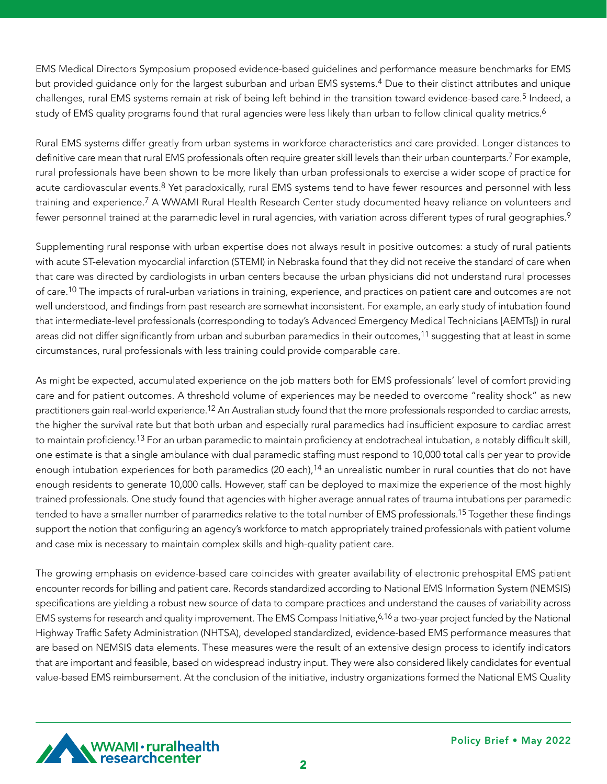EMS Medical Directors Symposium proposed evidence-based guidelines and performance measure benchmarks for EMS but provided guidance only for the largest suburban and urban EMS systems.4 Due to their distinct attributes and unique challenges, rural EMS systems remain at risk of being left behind in the transition toward evidence-based care.<sup>5</sup> Indeed, a study of EMS quality programs found that rural agencies were less likely than urban to follow clinical quality metrics.<sup>6</sup>

Rural EMS systems differ greatly from urban systems in workforce characteristics and care provided. Longer distances to definitive care mean that rural EMS professionals often require greater skill levels than their urban counterparts.<sup>7</sup> For example, rural professionals have been shown to be more likely than urban professionals to exercise a wider scope of practice for acute cardiovascular events.<sup>8</sup> Yet paradoxically, rural EMS systems tend to have fewer resources and personnel with less training and experience.7 A WWAMI Rural Health Research Center study documented heavy reliance on volunteers and fewer personnel trained at the paramedic level in rural agencies, with variation across different types of rural geographies.<sup>9</sup>

Supplementing rural response with urban expertise does not always result in positive outcomes: a study of rural patients with acute ST-elevation myocardial infarction (STEMI) in Nebraska found that they did not receive the standard of care when that care was directed by cardiologists in urban centers because the urban physicians did not understand rural processes of care.10 The impacts of rural-urban variations in training, experience, and practices on patient care and outcomes are not well understood, and findings from past research are somewhat inconsistent. For example, an early study of intubation found that intermediate-level professionals (corresponding to today's Advanced Emergency Medical Technicians [AEMTs]) in rural areas did not differ significantly from urban and suburban paramedics in their outcomes,<sup>11</sup> suggesting that at least in some circumstances, rural professionals with less training could provide comparable care.

As might be expected, accumulated experience on the job matters both for EMS professionals' level of comfort providing care and for patient outcomes. A threshold volume of experiences may be needed to overcome "reality shock" as new practitioners gain real-world experience.<sup>12</sup> An Australian study found that the more professionals responded to cardiac arrests, the higher the survival rate but that both urban and especially rural paramedics had insufficient exposure to cardiac arrest to maintain proficiency.<sup>13</sup> For an urban paramedic to maintain proficiency at endotracheal intubation, a notably difficult skill, one estimate is that a single ambulance with dual paramedic staffing must respond to 10,000 total calls per year to provide enough intubation experiences for both paramedics (20 each),<sup>14</sup> an unrealistic number in rural counties that do not have enough residents to generate 10,000 calls. However, staff can be deployed to maximize the experience of the most highly trained professionals. One study found that agencies with higher average annual rates of trauma intubations per paramedic tended to have a smaller number of paramedics relative to the total number of EMS professionals.15 Together these findings support the notion that configuring an agency's workforce to match appropriately trained professionals with patient volume and case mix is necessary to maintain complex skills and high-quality patient care.

The growing emphasis on evidence-based care coincides with greater availability of electronic prehospital EMS patient encounter records for billing and patient care. Records standardized according to National EMS Information System (NEMSIS) specifications are yielding a robust new source of data to compare practices and understand the causes of variability across EMS systems for research and quality improvement. The EMS Compass Initiative,<sup>6,16</sup> a two-year project funded by the National Highway Traffic Safety Administration (NHTSA), developed standardized, evidence-based EMS performance measures that are based on NEMSIS data elements. These measures were the result of an extensive design process to identify indicators that are important and feasible, based on widespread industry input. They were also considered likely candidates for eventual value-based EMS reimbursement. At the conclusion of the initiative, industry organizations formed the National EMS Quality

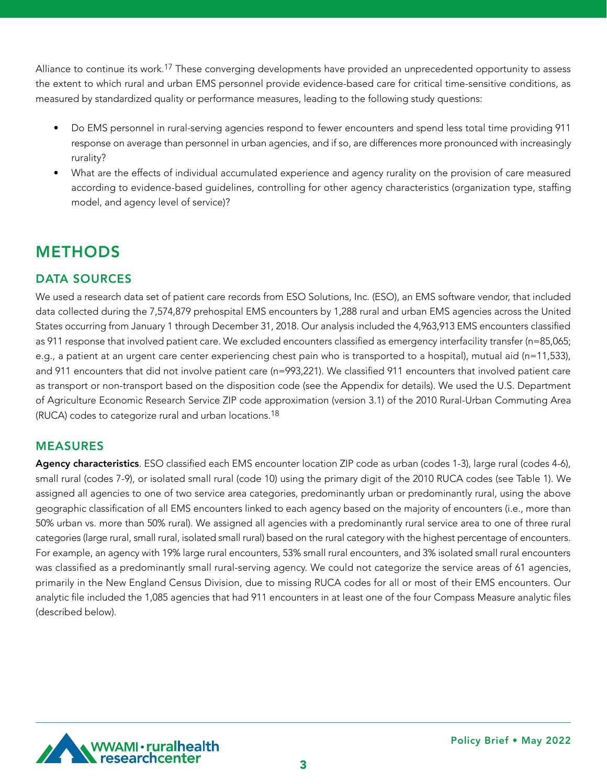Alliance to continue its work.<sup>17</sup> These converging developments have provided an unprecedented opportunity to assess the extent to which rural and urban EMS personnel provide evidence-based care for critical time-sensitive conditions, as measured by standardized quality or performance measures, leading to the following study questions:

- Do EMS personnel in rural-serving agencies respond to fewer encounters and spend less total time providing 911 response on average than personnel in urban agencies, and if so, are differences more pronounced with increasingly rurality?
- What are the effects of individual accumulated experience and agency rurality on the provision of care measured according to evidence-based guidelines, controlling for other agency characteristics (organization type, staffing model, and agency level of service)?

# METHODS

# DATA SOURCES

We used a research data set of patient care records from ESO Solutions, Inc. (ESO), an EMS software vendor, that included data collected during the 7,574,879 prehospital EMS encounters by 1,288 rural and urban EMS agencies across the United States occurring from January 1 through December 31, 2018. Our analysis included the 4,963,913 EMS encounters classified as 911 response that involved patient care. We excluded encounters classified as emergency interfacility transfer (n=85,065; e.g., a patient at an urgent care center experiencing chest pain who is transported to a hospital), mutual aid (n=11,533), and 911 encounters that did not involve patient care (n=993,221). We classified 911 encounters that involved patient care as transport or non-transport based on the disposition code (see the Appendix for details). We used the U.S. Department of Agriculture Economic Research Service ZIP code approximation (version 3.1) of the 2010 Rural-Urban Commuting Area (RUCA) codes to categorize rural and urban locations.18

# MEASURES

Agency characteristics. ESO classified each EMS encounter location ZIP code as urban (codes 1-3), large rural (codes 4-6), small rural (codes 7-9), or isolated small rural (code 10) using the primary digit of the 2010 RUCA codes (see Table 1). We assigned all agencies to one of two service area categories, predominantly urban or predominantly rural, using the above geographic classification of all EMS encounters linked to each agency based on the majority of encounters (i.e., more than 50% urban vs. more than 50% rural). We assigned all agencies with a predominantly rural service area to one of three rural categories (large rural, small rural, isolated small rural) based on the rural category with the highest percentage of encounters. For example, an agency with 19% large rural encounters, 53% small rural encounters, and 3% isolated small rural encounters was classified as a predominantly small rural-serving agency. We could not categorize the service areas of 61 agencies, primarily in the New England Census Division, due to missing RUCA codes for all or most of their EMS encounters. Our analytic file included the 1,085 agencies that had 911 encounters in at least one of the four Compass Measure analytic files (described below).

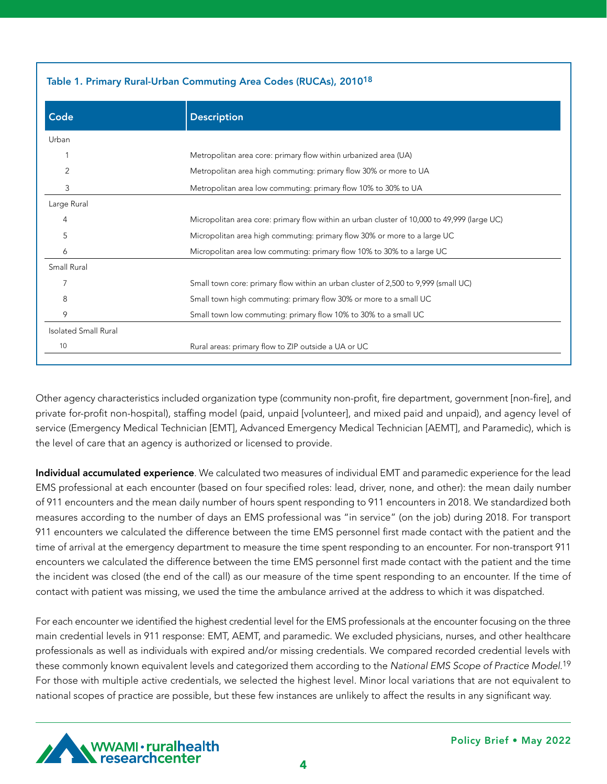| Table 1. Primary Rural-Urban Commuting Area Codes (RUCAs), 2010 <sup>18</sup> |                                                                                             |  |  |
|-------------------------------------------------------------------------------|---------------------------------------------------------------------------------------------|--|--|
| Code                                                                          | <b>Description</b>                                                                          |  |  |
| Urban                                                                         |                                                                                             |  |  |
|                                                                               | Metropolitan area core: primary flow within urbanized area (UA)                             |  |  |
| 2                                                                             | Metropolitan area high commuting: primary flow 30% or more to UA                            |  |  |
| 3                                                                             | Metropolitan area low commuting: primary flow 10% to 30% to UA                              |  |  |
| Large Rural                                                                   |                                                                                             |  |  |
| 4                                                                             | Micropolitan area core: primary flow within an urban cluster of 10,000 to 49,999 (large UC) |  |  |
| 5                                                                             | Micropolitan area high commuting: primary flow 30% or more to a large UC                    |  |  |
| 6                                                                             | Micropolitan area low commuting: primary flow 10% to 30% to a large UC                      |  |  |
| Small Rural                                                                   |                                                                                             |  |  |
| 7                                                                             | Small town core: primary flow within an urban cluster of 2,500 to 9,999 (small UC)          |  |  |
| 8                                                                             | Small town high commuting: primary flow 30% or more to a small UC                           |  |  |
| 9                                                                             | Small town low commuting: primary flow 10% to 30% to a small UC                             |  |  |
| <b>Isolated Small Rural</b>                                                   |                                                                                             |  |  |
| 10                                                                            | Rural areas: primary flow to ZIP outside a UA or UC                                         |  |  |

Other agency characteristics included organization type (community non-profit, fire department, government [non-fire], and private for-profit non-hospital), staffing model (paid, unpaid [volunteer], and mixed paid and unpaid), and agency level of service (Emergency Medical Technician [EMT], Advanced Emergency Medical Technician [AEMT], and Paramedic), which is the level of care that an agency is authorized or licensed to provide.

Individual accumulated experience. We calculated two measures of individual EMT and paramedic experience for the lead EMS professional at each encounter (based on four specified roles: lead, driver, none, and other): the mean daily number of 911 encounters and the mean daily number of hours spent responding to 911 encounters in 2018. We standardized both measures according to the number of days an EMS professional was "in service" (on the job) during 2018. For transport 911 encounters we calculated the difference between the time EMS personnel first made contact with the patient and the time of arrival at the emergency department to measure the time spent responding to an encounter. For non-transport 911 encounters we calculated the difference between the time EMS personnel first made contact with the patient and the time the incident was closed (the end of the call) as our measure of the time spent responding to an encounter. If the time of contact with patient was missing, we used the time the ambulance arrived at the address to which it was dispatched.

For each encounter we identified the highest credential level for the EMS professionals at the encounter focusing on the three main credential levels in 911 response: EMT, AEMT, and paramedic. We excluded physicians, nurses, and other healthcare professionals as well as individuals with expired and/or missing credentials. We compared recorded credential levels with these commonly known equivalent levels and categorized them according to the *National EMS Scope of Practice Model*. 19 For those with multiple active credentials, we selected the highest level. Minor local variations that are not equivalent to national scopes of practice are possible, but these few instances are unlikely to affect the results in any significant way.



4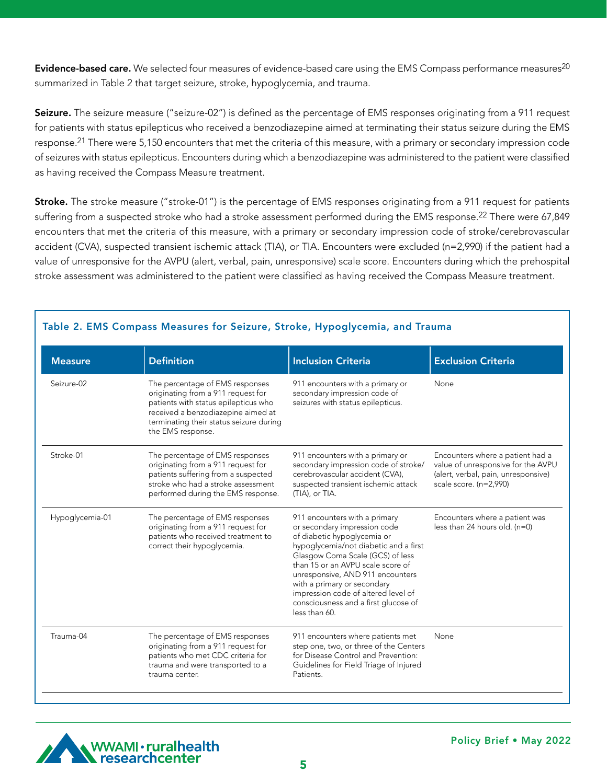Evidence-based care. We selected four measures of evidence-based care using the EMS Compass performance measures<sup>20</sup> summarized in Table 2 that target seizure, stroke, hypoglycemia, and trauma.

Seizure. The seizure measure ("seizure-02") is defined as the percentage of EMS responses originating from a 911 request for patients with status epilepticus who received a benzodiazepine aimed at terminating their status seizure during the EMS response.<sup>21</sup> There were 5,150 encounters that met the criteria of this measure, with a primary or secondary impression code of seizures with status epilepticus. Encounters during which a benzodiazepine was administered to the patient were classified as having received the Compass Measure treatment.

Stroke. The stroke measure ("stroke-01") is the percentage of EMS responses originating from a 911 request for patients suffering from a suspected stroke who had a stroke assessment performed during the EMS response.<sup>22</sup> There were 67,849 encounters that met the criteria of this measure, with a primary or secondary impression code of stroke/cerebrovascular accident (CVA), suspected transient ischemic attack (TIA), or TIA. Encounters were excluded (n=2,990) if the patient had a value of unresponsive for the AVPU (alert, verbal, pain, unresponsive) scale score. Encounters during which the prehospital stroke assessment was administered to the patient were classified as having received the Compass Measure treatment.

| <b>Measure</b>  | <b>Definition</b>                                                                                                                                                                                                   | <b>Inclusion Criteria</b>                                                                                                                                                                                                                                                                                                                                                         | <b>Exclusion Criteria</b>                                                                                                               |
|-----------------|---------------------------------------------------------------------------------------------------------------------------------------------------------------------------------------------------------------------|-----------------------------------------------------------------------------------------------------------------------------------------------------------------------------------------------------------------------------------------------------------------------------------------------------------------------------------------------------------------------------------|-----------------------------------------------------------------------------------------------------------------------------------------|
| Seizure-02      | The percentage of EMS responses<br>originating from a 911 request for<br>patients with status epilepticus who<br>received a benzodiazepine aimed at<br>terminating their status seizure during<br>the EMS response. | 911 encounters with a primary or<br>secondary impression code of<br>seizures with status epilepticus.                                                                                                                                                                                                                                                                             | None                                                                                                                                    |
| Stroke-01       | The percentage of EMS responses<br>originating from a 911 request for<br>patients suffering from a suspected<br>stroke who had a stroke assessment<br>performed during the EMS response.                            | 911 encounters with a primary or<br>secondary impression code of stroke/<br>cerebrovascular accident (CVA),<br>suspected transient ischemic attack<br>(TIA), or TIA.                                                                                                                                                                                                              | Encounters where a patient had a<br>value of unresponsive for the AVPU<br>(alert, verbal, pain, unresponsive)<br>scale score. (n=2,990) |
| Hypoglycemia-01 | The percentage of EMS responses<br>originating from a 911 request for<br>patients who received treatment to<br>correct their hypoglycemia.                                                                          | 911 encounters with a primary<br>or secondary impression code<br>of diabetic hypoglycemia or<br>hypoglycemia/not diabetic and a first<br>Glasgow Coma Scale (GCS) of less<br>than 15 or an AVPU scale score of<br>unresponsive, AND 911 encounters<br>with a primary or secondary<br>impression code of altered level of<br>consciousness and a first glucose of<br>less than 60. | Encounters where a patient was<br>less than 24 hours old. $(n=0)$                                                                       |
| Trauma-04       | The percentage of EMS responses<br>originating from a 911 request for<br>patients who met CDC criteria for<br>trauma and were transported to a<br>trauma center.                                                    | 911 encounters where patients met<br>step one, two, or three of the Centers<br>for Disease Control and Prevention:<br>Guidelines for Field Triage of Injured<br>Patients.                                                                                                                                                                                                         | None                                                                                                                                    |

### Table 2. EMS Compass Measures for Seizure, Stroke, Hypoglycemia, and Trauma

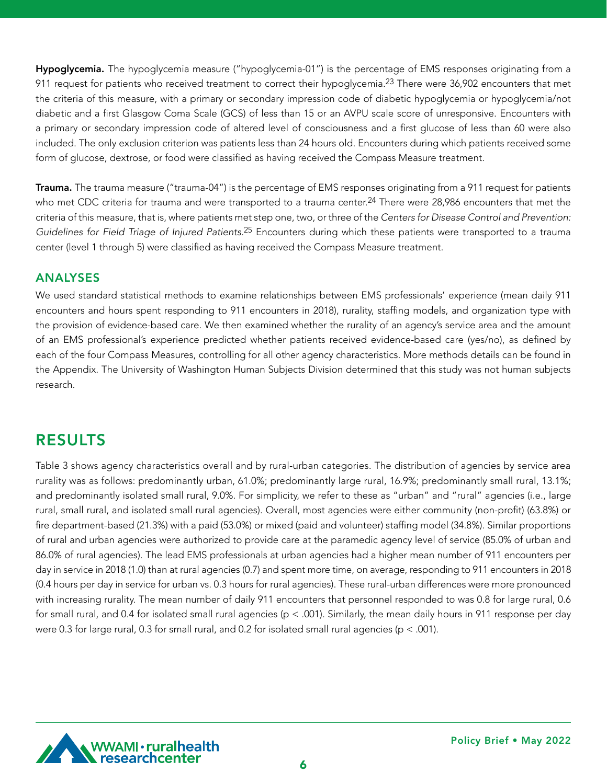Hypoglycemia. The hypoglycemia measure ("hypoglycemia-01") is the percentage of EMS responses originating from a 911 request for patients who received treatment to correct their hypoglycemia.<sup>23</sup> There were 36,902 encounters that met the criteria of this measure, with a primary or secondary impression code of diabetic hypoglycemia or hypoglycemia/not diabetic and a first Glasgow Coma Scale (GCS) of less than 15 or an AVPU scale score of unresponsive. Encounters with a primary or secondary impression code of altered level of consciousness and a first glucose of less than 60 were also included. The only exclusion criterion was patients less than 24 hours old. Encounters during which patients received some form of glucose, dextrose, or food were classified as having received the Compass Measure treatment.

Trauma. The trauma measure ("trauma-04") is the percentage of EMS responses originating from a 911 request for patients who met CDC criteria for trauma and were transported to a trauma center.<sup>24</sup> There were 28,986 encounters that met the criteria of this measure, that is, where patients met step one, two, or three of the *Centers for Disease Control and Prevention: Guidelines for Field Triage of Injured Patients.*25 Encounters during which these patients were transported to a trauma center (level 1 through 5) were classified as having received the Compass Measure treatment.

### ANALYSES

We used standard statistical methods to examine relationships between EMS professionals' experience (mean daily 911 encounters and hours spent responding to 911 encounters in 2018), rurality, staffing models, and organization type with the provision of evidence-based care. We then examined whether the rurality of an agency's service area and the amount of an EMS professional's experience predicted whether patients received evidence-based care (yes/no), as defined by each of the four Compass Measures, controlling for all other agency characteristics. More methods details can be found in the Appendix. The University of Washington Human Subjects Division determined that this study was not human subjects research.

# RESULTS

Table 3 shows agency characteristics overall and by rural-urban categories. The distribution of agencies by service area rurality was as follows: predominantly urban, 61.0%; predominantly large rural, 16.9%; predominantly small rural, 13.1%; and predominantly isolated small rural, 9.0%. For simplicity, we refer to these as "urban" and "rural" agencies (i.e., large rural, small rural, and isolated small rural agencies). Overall, most agencies were either community (non-profit) (63.8%) or fire department-based (21.3%) with a paid (53.0%) or mixed (paid and volunteer) staffing model (34.8%). Similar proportions of rural and urban agencies were authorized to provide care at the paramedic agency level of service (85.0% of urban and 86.0% of rural agencies). The lead EMS professionals at urban agencies had a higher mean number of 911 encounters per day in service in 2018 (1.0) than at rural agencies (0.7) and spent more time, on average, responding to 911 encounters in 2018 (0.4 hours per day in service for urban vs. 0.3 hours for rural agencies). These rural-urban differences were more pronounced with increasing rurality. The mean number of daily 911 encounters that personnel responded to was 0.8 for large rural, 0.6 for small rural, and 0.4 for isolated small rural agencies (p < .001). Similarly, the mean daily hours in 911 response per day were 0.3 for large rural, 0.3 for small rural, and 0.2 for isolated small rural agencies ( $p < .001$ ).

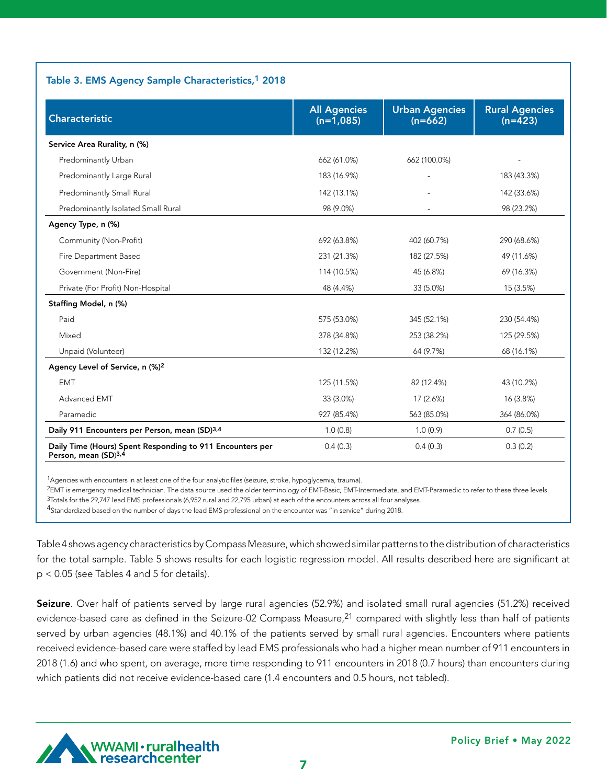### Table 3. EMS Agency Sample Characteristics,<sup>1</sup> 2018

| Characteristic                                                                    | <b>All Agencies</b><br>$(n=1,085)$ | <b>Urban Agencies</b><br>$(n=662)$ | <b>Rural Agencies</b><br>$(n=423)$ |
|-----------------------------------------------------------------------------------|------------------------------------|------------------------------------|------------------------------------|
| Service Area Rurality, n (%)                                                      |                                    |                                    |                                    |
| Predominantly Urban                                                               | 662 (61.0%)                        | 662 (100.0%)                       |                                    |
| Predominantly Large Rural                                                         | 183 (16.9%)                        |                                    | 183 (43.3%)                        |
| Predominantly Small Rural                                                         | 142 (13.1%)                        |                                    | 142 (33.6%)                        |
| Predominantly Isolated Small Rural                                                | 98 (9.0%)                          |                                    | 98 (23.2%)                         |
| Agency Type, n (%)                                                                |                                    |                                    |                                    |
| Community (Non-Profit)                                                            | 692 (63.8%)                        | 402 (60.7%)                        | 290 (68.6%)                        |
| Fire Department Based                                                             | 231 (21.3%)                        | 182 (27.5%)                        | 49 (11.6%)                         |
| Government (Non-Fire)                                                             | 114 (10.5%)                        | 45 (6.8%)                          | 69 (16.3%)                         |
| Private (For Profit) Non-Hospital                                                 | 48 (4.4%)                          | 33 (5.0%)                          | 15 (3.5%)                          |
| Staffing Model, n (%)                                                             |                                    |                                    |                                    |
| Paid                                                                              | 575 (53.0%)                        | 345 (52.1%)                        | 230 (54.4%)                        |
| Mixed                                                                             | 378 (34.8%)                        | 253 (38.2%)                        | 125 (29.5%)                        |
| Unpaid (Volunteer)                                                                | 132 (12.2%)                        | 64 (9.7%)                          | 68 (16.1%)                         |
| Agency Level of Service, n (%) <sup>2</sup>                                       |                                    |                                    |                                    |
| <b>EMT</b>                                                                        | 125 (11.5%)                        | 82 (12.4%)                         | 43 (10.2%)                         |
| Advanced EMT                                                                      | 33 (3.0%)                          | 17 (2.6%)                          | 16 (3.8%)                          |
| Paramedic                                                                         | 927 (85.4%)                        | 563 (85.0%)                        | 364 (86.0%)                        |
| Daily 911 Encounters per Person, mean (SD)3,4                                     | 1.0(0.8)                           | 1.0(0.9)                           | 0.7(0.5)                           |
| Daily Time (Hours) Spent Responding to 911 Encounters per<br>Person, mean (SD)3,4 | 0.4(0.3)                           | 0.4(0.3)                           | 0.3(0.2)                           |

1Agencies with encounters in at least one of the four analytic files (seizure, stroke, hypoglycemia, trauma).

2EMT is emergency medical technician. The data source used the older terminology of EMT-Basic, EMT-Intermediate, and EMT-Paramedic to refer to these three levels. 3Totals for the 29,747 lead EMS professionals (6,952 rural and 22,795 urban) at each of the encounters across all four analyses.

4Standardized based on the number of days the lead EMS professional on the encounter was "in service" during 2018.

Table 4 shows agency characteristics by Compass Measure, which showed similar patterns to the distribution of characteristics for the total sample. Table 5 shows results for each logistic regression model. All results described here are significant at p < 0.05 (see Tables 4 and 5 for details).

Seizure. Over half of patients served by large rural agencies (52.9%) and isolated small rural agencies (51.2%) received evidence-based care as defined in the Seizure-02 Compass Measure,<sup>21</sup> compared with slightly less than half of patients served by urban agencies (48.1%) and 40.1% of the patients served by small rural agencies. Encounters where patients received evidence-based care were staffed by lead EMS professionals who had a higher mean number of 911 encounters in 2018 (1.6) and who spent, on average, more time responding to 911 encounters in 2018 (0.7 hours) than encounters during which patients did not receive evidence-based care (1.4 encounters and 0.5 hours, not tabled).

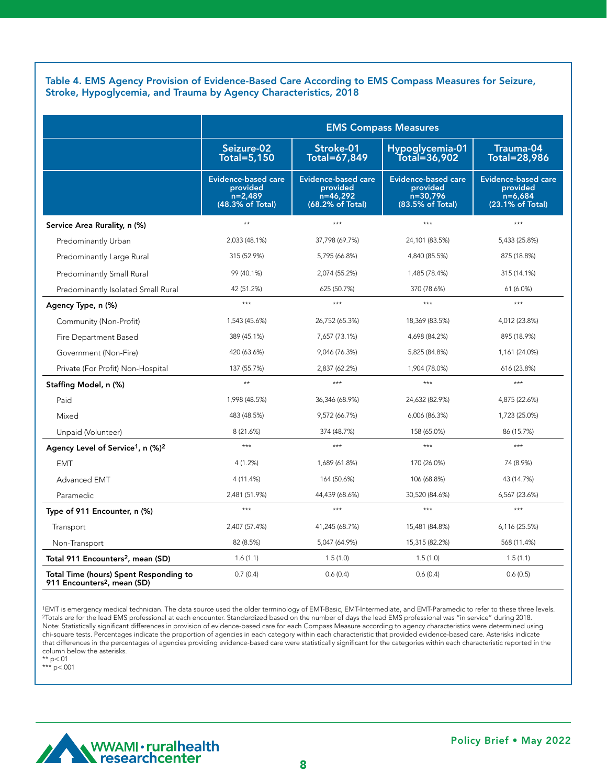Table 4. EMS Agency Provision of Evidence-Based Care According to EMS Compass Measures for Seizure, Stroke, Hypoglycemia, and Trauma by Agency Characteristics, 2018

|                                                                                   | <b>EMS Compass Measures</b>                                             |                                                                          |                                                                        |                                                                         |
|-----------------------------------------------------------------------------------|-------------------------------------------------------------------------|--------------------------------------------------------------------------|------------------------------------------------------------------------|-------------------------------------------------------------------------|
|                                                                                   | Seizure-02<br><b>Total=5,150</b>                                        | Stroke-01<br>Total=67,849                                                | Hypoglycemia-01<br>Total=36,902                                        | Trauma-04<br><b>Total=28,986</b>                                        |
|                                                                                   | <b>Evidence-based care</b><br>provided<br>$n=2,489$<br>(48.3% of Total) | <b>Evidence-based care</b><br>provided<br>$n=46,292$<br>(68.2% of Total) | <b>Evidence-based care</b><br>provided<br>n=30,796<br>(83.5% of Total) | <b>Evidence-based care</b><br>provided<br>$n=6,684$<br>(23.1% of Total) |
| Service Area Rurality, n (%)                                                      | $\star\star$                                                            | ***                                                                      | $***$                                                                  | $***$                                                                   |
| Predominantly Urban                                                               | 2,033 (48.1%)                                                           | 37,798 (69.7%)                                                           | 24,101 (83.5%)                                                         | 5,433 (25.8%)                                                           |
| Predominantly Large Rural                                                         | 315 (52.9%)                                                             | 5,795 (66.8%)                                                            | 4,840 (85.5%)                                                          | 875 (18.8%)                                                             |
| Predominantly Small Rural                                                         | 99 (40.1%)                                                              | 2,074 (55.2%)                                                            | 1,485 (78.4%)                                                          | 315 (14.1%)                                                             |
| Predominantly Isolated Small Rural                                                | 42 (51.2%)                                                              | 625 (50.7%)                                                              | 370 (78.6%)                                                            | 61 (6.0%)                                                               |
| Agency Type, n (%)                                                                | $***$                                                                   | ***                                                                      | $***$                                                                  | ***                                                                     |
| Community (Non-Profit)                                                            | 1,543 (45.6%)                                                           | 26,752 (65.3%)                                                           | 18,369 (83.5%)                                                         | 4,012 (23.8%)                                                           |
| Fire Department Based                                                             | 389 (45.1%)                                                             | 7,657 (73.1%)                                                            | 4,698 (84.2%)                                                          | 895 (18.9%)                                                             |
| Government (Non-Fire)                                                             | 420 (63.6%)                                                             | 9,046 (76.3%)                                                            | 5,825 (84.8%)                                                          | 1,161 (24.0%)                                                           |
| Private (For Profit) Non-Hospital                                                 | 137 (55.7%)                                                             | 2,837 (62.2%)                                                            | 1,904 (78.0%)                                                          | 616 (23.8%)                                                             |
| Staffing Model, n (%)                                                             | $\star\star$                                                            | ***                                                                      | $***$                                                                  | $***$                                                                   |
| Paid                                                                              | 1,998 (48.5%)                                                           | 36,346 (68.9%)                                                           | 24,632 (82.9%)                                                         | 4,875 (22.6%)                                                           |
| Mixed                                                                             | 483 (48.5%)                                                             | 9,572 (66.7%)                                                            | 6,006 (86.3%)                                                          | 1,723 (25.0%)                                                           |
| Unpaid (Volunteer)                                                                | 8 (21.6%)                                                               | 374 (48.7%)                                                              | 158 (65.0%)                                                            | 86 (15.7%)                                                              |
| Agency Level of Service <sup>1</sup> , n (%) <sup>2</sup>                         | $***$                                                                   | ***                                                                      | $***$                                                                  | ***                                                                     |
| <b>EMT</b>                                                                        | 4 (1.2%)                                                                | 1,689 (61.8%)                                                            | 170 (26.0%)                                                            | 74 (8.9%)                                                               |
| Advanced EMT                                                                      | 4 (11.4%)                                                               | 164 (50.6%)                                                              | 106 (68.8%)                                                            | 43 (14.7%)                                                              |
| Paramedic                                                                         | 2,481 (51.9%)                                                           | 44,439 (68.6%)                                                           | 30,520 (84.6%)                                                         | 6,567 (23.6%)                                                           |
| Type of 911 Encounter, n (%)                                                      | $***$                                                                   | ***                                                                      | $***$                                                                  | ***                                                                     |
| Transport                                                                         | 2,407 (57.4%)                                                           | 41,245 (68.7%)                                                           | 15,481 (84.8%)                                                         | 6,116 (25.5%)                                                           |
| Non-Transport                                                                     | 82 (8.5%)                                                               | 5,047 (64.9%)                                                            | 15,315 (82.2%)                                                         | 568 (11.4%)                                                             |
| Total 911 Encounters <sup>2</sup> , mean (SD)                                     | 1.6(1.1)                                                                | 1.5(1.0)                                                                 | 1.5(1.0)                                                               | 1.5(1.1)                                                                |
| Total Time (hours) Spent Responding to<br>911 Encounters <sup>2</sup> , mean (SD) | 0.7(0.4)                                                                | 0.6(0.4)                                                                 | 0.6(0.4)                                                               | 0.6(0.5)                                                                |

1EMT is emergency medical technician. The data source used the older terminology of EMT-Basic, EMT-Intermediate, and EMT-Paramedic to refer to these three levels. 2Totals are for the lead EMS professional at each encounter. Standardized based on the number of days the lead EMS professional was "in service" during 2018. Note: Statistically significant differences in provision of evidence-based care for each Compass Measure according to agency characteristics were determined using chi-square tests. Percentages indicate the proportion of agencies in each category within each characteristic that provided evidence-based care. Asterisks indicate that differences in the percentages of agencies providing evidence-based care were statistically significant for the categories within each characteristic reported in the column below the asterisks.

\*\* p<.01 \*\*\* p<.001

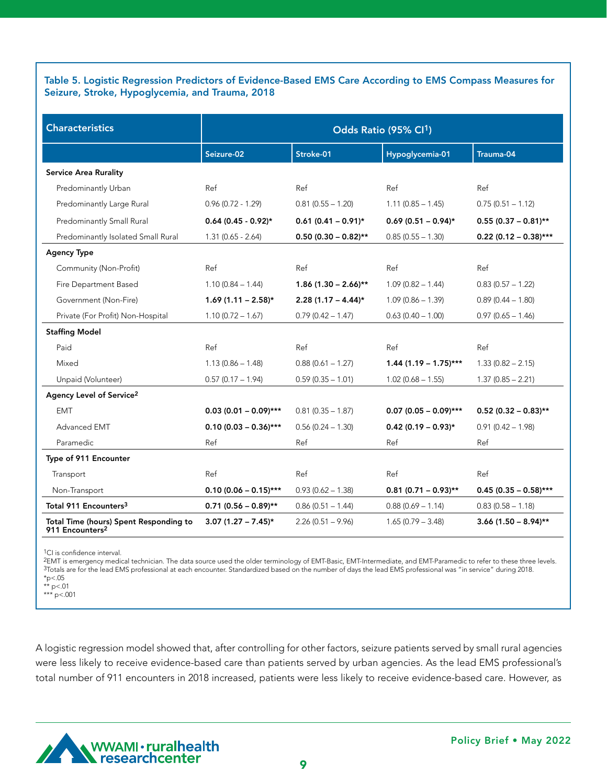#### Table 5. Logistic Regression Predictors of Evidence-Based EMS Care According to EMS Compass Measures for Seizure, Stroke, Hypoglycemia, and Trauma, 2018

| <b>Characteristics</b>                                                | Odds Ratio (95% Cl <sup>1</sup> ) |                         |                         |                         |
|-----------------------------------------------------------------------|-----------------------------------|-------------------------|-------------------------|-------------------------|
|                                                                       | Seizure-02                        | Stroke-01               | Hypoglycemia-01         | Trauma-04               |
| <b>Service Area Rurality</b>                                          |                                   |                         |                         |                         |
| Predominantly Urban                                                   | Ref                               | Ref                     | Ref                     | Ref                     |
| Predominantly Large Rural                                             | $0.96(0.72 - 1.29)$               | $0.81(0.55 - 1.20)$     | $1.11(0.85 - 1.45)$     | $0.75(0.51 - 1.12)$     |
| Predominantly Small Rural                                             | $0.64(0.45 - 0.92)$ *             | $0.61$ (0.41 - 0.91)*   | $0.69(0.51 - 0.94)$ *   | $0.55(0.37 - 0.81**$    |
| Predominantly Isolated Small Rural                                    | $1.31(0.65 - 2.64)$               | $0.50(0.30 - 0.82)$ **  | $0.85(0.55 - 1.30)$     | $0.22$ (0.12 - 0.38)*** |
| <b>Agency Type</b>                                                    |                                   |                         |                         |                         |
| Community (Non-Profit)                                                | Ref                               | Ref                     | Ref                     | Ref                     |
| Fire Department Based                                                 | $1.10(0.84 - 1.44)$               | $1.86$ (1.30 - 2.66)**  | $1.09(0.82 - 1.44)$     | $0.83(0.57 - 1.22)$     |
| Government (Non-Fire)                                                 | $1.69(1.11 - 2.58)$ *             | $2.28(1.17 - 4.44)^{*}$ | $1.09(0.86 - 1.39)$     | $0.89(0.44 - 1.80)$     |
| Private (For Profit) Non-Hospital                                     | $1.10(0.72 - 1.67)$               | $0.79(0.42 - 1.47)$     | $0.63(0.40 - 1.00)$     | $0.97(0.65 - 1.46)$     |
| <b>Staffing Model</b>                                                 |                                   |                         |                         |                         |
| Paid                                                                  | Ref                               | Ref                     | Ref                     | Ref                     |
| Mixed                                                                 | $1.13(0.86 - 1.48)$               | $0.88(0.61 - 1.27)$     | $1.44$ (1.19 - 1.75)*** | $1.33(0.82 - 2.15)$     |
| Unpaid (Volunteer)                                                    | $0.57(0.17 - 1.94)$               | $0.59(0.35 - 1.01)$     | $1.02(0.68 - 1.55)$     | $1.37(0.85 - 2.21)$     |
| Agency Level of Service <sup>2</sup>                                  |                                   |                         |                         |                         |
| <b>EMT</b>                                                            | $0.03$ (0.01 - 0.09)***           | $0.81(0.35 - 1.87)$     | $0.07$ (0.05 - 0.09)*** | $0.52$ (0.32 - 0.83)**  |
| Advanced EMT                                                          | $0.10(0.03 - 0.36)$ ***           | $0.56(0.24 - 1.30)$     | $0.42$ (0.19 - 0.93)*   | $0.91(0.42 - 1.98)$     |
| Paramedic                                                             | Ref                               | Ref                     | Ref                     | Ref                     |
| Type of 911 Encounter                                                 |                                   |                         |                         |                         |
| Transport                                                             | Ref                               | Ref                     | Ref                     | Ref                     |
| Non-Transport                                                         | $0.10(0.06 - 0.15)$ ***           | $0.93(0.62 - 1.38)$     | $0.81$ (0.71 - 0.93)**  | $0.45(0.35 - 0.58)$ *** |
| Total 911 Encounters <sup>3</sup>                                     | $0.71$ (0.56 - 0.89)**            | $0.86(0.51 - 1.44)$     | $0.88(0.69 - 1.14)$     | $0.83(0.58 - 1.18)$     |
| Total Time (hours) Spent Responding to<br>911 Encounters <sup>2</sup> | $3.07(1.27 - 7.45)^*$             | $2.26(0.51 - 9.96)$     | $1.65(0.79 - 3.48)$     | $3.66$ (1.50 - 8.94)**  |

<sup>1</sup>CI is confidence interval.

2EMT is emergency medical technician. The data source used the older terminology of EMT-Basic, EMT-Intermediate, and EMT-Paramedic to refer to these three levels. 3Totals are for the lead EMS professional at each encounter. Standardized based on the number of days the lead EMS professional was "in service" during 2018.  $*_{p<.05}$ 

\*\* p<.01

\*\*\* p<.001

A logistic regression model showed that, after controlling for other factors, seizure patients served by small rural agencies were less likely to receive evidence-based care than patients served by urban agencies. As the lead EMS professional's total number of 911 encounters in 2018 increased, patients were less likely to receive evidence-based care. However, as

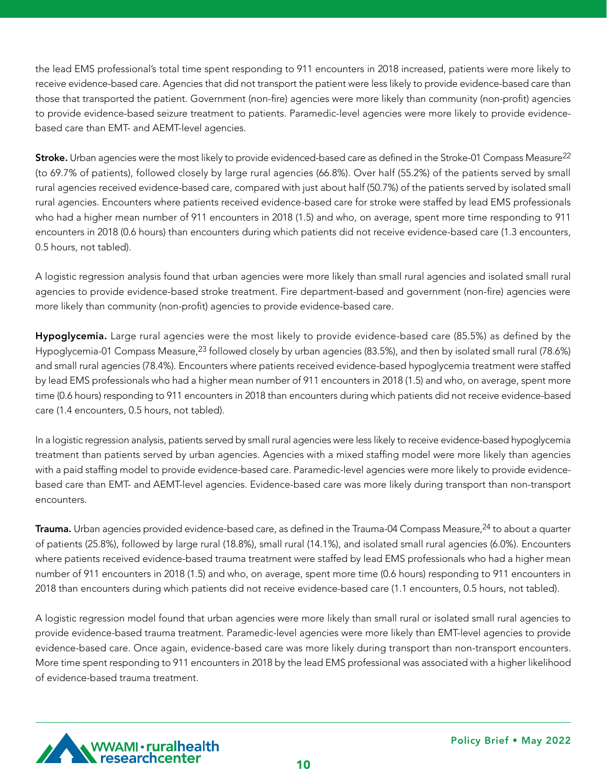the lead EMS professional's total time spent responding to 911 encounters in 2018 increased, patients were more likely to receive evidence-based care. Agencies that did not transport the patient were less likely to provide evidence-based care than those that transported the patient. Government (non-fire) agencies were more likely than community (non-profit) agencies to provide evidence-based seizure treatment to patients. Paramedic-level agencies were more likely to provide evidencebased care than EMT- and AEMT-level agencies.

Stroke. Urban agencies were the most likely to provide evidenced-based care as defined in the Stroke-01 Compass Measure<sup>22</sup> (to 69.7% of patients), followed closely by large rural agencies (66.8%). Over half (55.2%) of the patients served by small rural agencies received evidence-based care, compared with just about half (50.7%) of the patients served by isolated small rural agencies. Encounters where patients received evidence-based care for stroke were staffed by lead EMS professionals who had a higher mean number of 911 encounters in 2018 (1.5) and who, on average, spent more time responding to 911 encounters in 2018 (0.6 hours) than encounters during which patients did not receive evidence-based care (1.3 encounters, 0.5 hours, not tabled).

A logistic regression analysis found that urban agencies were more likely than small rural agencies and isolated small rural agencies to provide evidence-based stroke treatment. Fire department-based and government (non-fire) agencies were more likely than community (non-profit) agencies to provide evidence-based care.

Hypoglycemia. Large rural agencies were the most likely to provide evidence-based care (85.5%) as defined by the Hypoglycemia-01 Compass Measure,<sup>23</sup> followed closely by urban agencies (83.5%), and then by isolated small rural (78.6%) and small rural agencies (78.4%). Encounters where patients received evidence-based hypoglycemia treatment were staffed by lead EMS professionals who had a higher mean number of 911 encounters in 2018 (1.5) and who, on average, spent more time (0.6 hours) responding to 911 encounters in 2018 than encounters during which patients did not receive evidence-based care (1.4 encounters, 0.5 hours, not tabled).

In a logistic regression analysis, patients served by small rural agencies were less likely to receive evidence-based hypoglycemia treatment than patients served by urban agencies. Agencies with a mixed staffing model were more likely than agencies with a paid staffing model to provide evidence-based care. Paramedic-level agencies were more likely to provide evidencebased care than EMT- and AEMT-level agencies. Evidence-based care was more likely during transport than non-transport encounters.

**Trauma.** Urban agencies provided evidence-based care, as defined in the Trauma-04 Compass Measure,<sup>24</sup> to about a quarter of patients (25.8%), followed by large rural (18.8%), small rural (14.1%), and isolated small rural agencies (6.0%). Encounters where patients received evidence-based trauma treatment were staffed by lead EMS professionals who had a higher mean number of 911 encounters in 2018 (1.5) and who, on average, spent more time (0.6 hours) responding to 911 encounters in 2018 than encounters during which patients did not receive evidence-based care (1.1 encounters, 0.5 hours, not tabled).

A logistic regression model found that urban agencies were more likely than small rural or isolated small rural agencies to provide evidence-based trauma treatment. Paramedic-level agencies were more likely than EMT-level agencies to provide evidence-based care. Once again, evidence-based care was more likely during transport than non-transport encounters. More time spent responding to 911 encounters in 2018 by the lead EMS professional was associated with a higher likelihood of evidence-based trauma treatment.

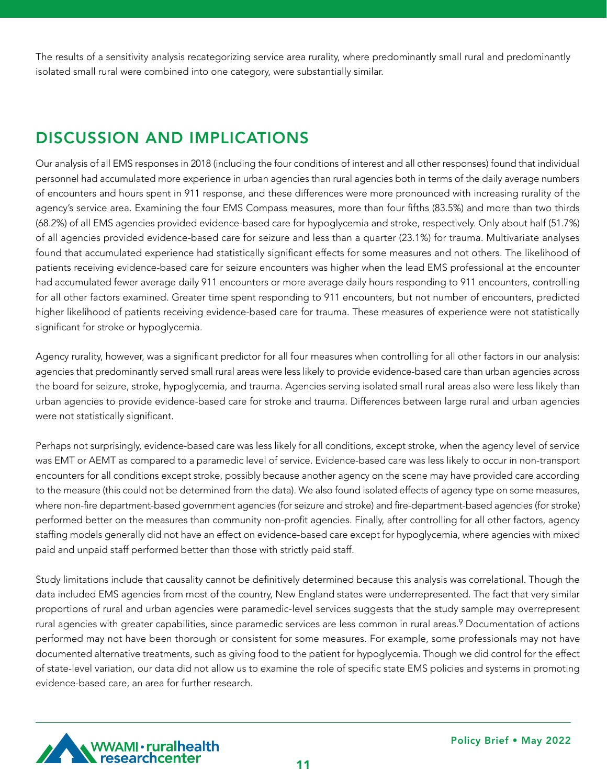The results of a sensitivity analysis recategorizing service area rurality, where predominantly small rural and predominantly isolated small rural were combined into one category, were substantially similar.

# DISCUSSION AND IMPLICATIONS

Our analysis of all EMS responses in 2018 (including the four conditions of interest and all other responses) found that individual personnel had accumulated more experience in urban agencies than rural agencies both in terms of the daily average numbers of encounters and hours spent in 911 response, and these differences were more pronounced with increasing rurality of the agency's service area. Examining the four EMS Compass measures, more than four fifths (83.5%) and more than two thirds (68.2%) of all EMS agencies provided evidence-based care for hypoglycemia and stroke, respectively. Only about half (51.7%) of all agencies provided evidence-based care for seizure and less than a quarter (23.1%) for trauma. Multivariate analyses found that accumulated experience had statistically significant effects for some measures and not others. The likelihood of patients receiving evidence-based care for seizure encounters was higher when the lead EMS professional at the encounter had accumulated fewer average daily 911 encounters or more average daily hours responding to 911 encounters, controlling for all other factors examined. Greater time spent responding to 911 encounters, but not number of encounters, predicted higher likelihood of patients receiving evidence-based care for trauma. These measures of experience were not statistically significant for stroke or hypoglycemia.

Agency rurality, however, was a significant predictor for all four measures when controlling for all other factors in our analysis: agencies that predominantly served small rural areas were less likely to provide evidence-based care than urban agencies across the board for seizure, stroke, hypoglycemia, and trauma. Agencies serving isolated small rural areas also were less likely than urban agencies to provide evidence-based care for stroke and trauma. Differences between large rural and urban agencies were not statistically significant.

Perhaps not surprisingly, evidence-based care was less likely for all conditions, except stroke, when the agency level of service was EMT or AEMT as compared to a paramedic level of service. Evidence-based care was less likely to occur in non-transport encounters for all conditions except stroke, possibly because another agency on the scene may have provided care according to the measure (this could not be determined from the data). We also found isolated effects of agency type on some measures, where non-fire department-based government agencies (for seizure and stroke) and fire-department-based agencies (for stroke) performed better on the measures than community non-profit agencies. Finally, after controlling for all other factors, agency staffing models generally did not have an effect on evidence-based care except for hypoglycemia, where agencies with mixed paid and unpaid staff performed better than those with strictly paid staff.

Study limitations include that causality cannot be definitively determined because this analysis was correlational. Though the data included EMS agencies from most of the country, New England states were underrepresented. The fact that very similar proportions of rural and urban agencies were paramedic-level services suggests that the study sample may overrepresent rural agencies with greater capabilities, since paramedic services are less common in rural areas.<sup>9</sup> Documentation of actions performed may not have been thorough or consistent for some measures. For example, some professionals may not have documented alternative treatments, such as giving food to the patient for hypoglycemia. Though we did control for the effect of state-level variation, our data did not allow us to examine the role of specific state EMS policies and systems in promoting evidence-based care, an area for further research.

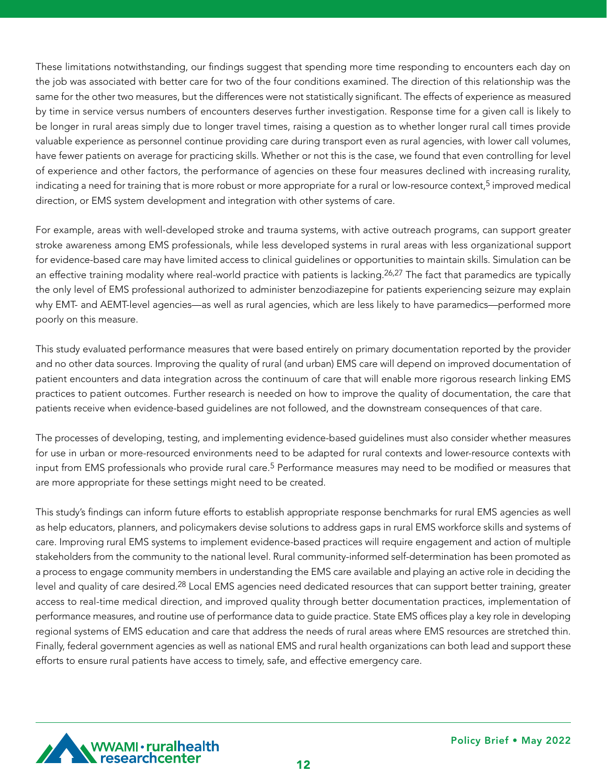These limitations notwithstanding, our findings suggest that spending more time responding to encounters each day on the job was associated with better care for two of the four conditions examined. The direction of this relationship was the same for the other two measures, but the differences were not statistically significant. The effects of experience as measured by time in service versus numbers of encounters deserves further investigation. Response time for a given call is likely to be longer in rural areas simply due to longer travel times, raising a question as to whether longer rural call times provide valuable experience as personnel continue providing care during transport even as rural agencies, with lower call volumes, have fewer patients on average for practicing skills. Whether or not this is the case, we found that even controlling for level of experience and other factors, the performance of agencies on these four measures declined with increasing rurality, indicating a need for training that is more robust or more appropriate for a rural or low-resource context,<sup>5</sup> improved medical direction, or EMS system development and integration with other systems of care.

For example, areas with well-developed stroke and trauma systems, with active outreach programs, can support greater stroke awareness among EMS professionals, while less developed systems in rural areas with less organizational support for evidence-based care may have limited access to clinical guidelines or opportunities to maintain skills. Simulation can be an effective training modality where real-world practice with patients is lacking.<sup>26,27</sup> The fact that paramedics are typically the only level of EMS professional authorized to administer benzodiazepine for patients experiencing seizure may explain why EMT- and AEMT-level agencies—as well as rural agencies, which are less likely to have paramedics—performed more poorly on this measure.

This study evaluated performance measures that were based entirely on primary documentation reported by the provider and no other data sources. Improving the quality of rural (and urban) EMS care will depend on improved documentation of patient encounters and data integration across the continuum of care that will enable more rigorous research linking EMS practices to patient outcomes. Further research is needed on how to improve the quality of documentation, the care that patients receive when evidence-based guidelines are not followed, and the downstream consequences of that care.

The processes of developing, testing, and implementing evidence-based guidelines must also consider whether measures for use in urban or more-resourced environments need to be adapted for rural contexts and lower-resource contexts with input from EMS professionals who provide rural care.<sup>5</sup> Performance measures may need to be modified or measures that are more appropriate for these settings might need to be created.

This study's findings can inform future efforts to establish appropriate response benchmarks for rural EMS agencies as well as help educators, planners, and policymakers devise solutions to address gaps in rural EMS workforce skills and systems of care. Improving rural EMS systems to implement evidence-based practices will require engagement and action of multiple stakeholders from the community to the national level. Rural community-informed self-determination has been promoted as a process to engage community members in understanding the EMS care available and playing an active role in deciding the level and quality of care desired.28 Local EMS agencies need dedicated resources that can support better training, greater access to real-time medical direction, and improved quality through better documentation practices, implementation of performance measures, and routine use of performance data to guide practice. State EMS offices play a key role in developing regional systems of EMS education and care that address the needs of rural areas where EMS resources are stretched thin. Finally, federal government agencies as well as national EMS and rural health organizations can both lead and support these efforts to ensure rural patients have access to timely, safe, and effective emergency care.

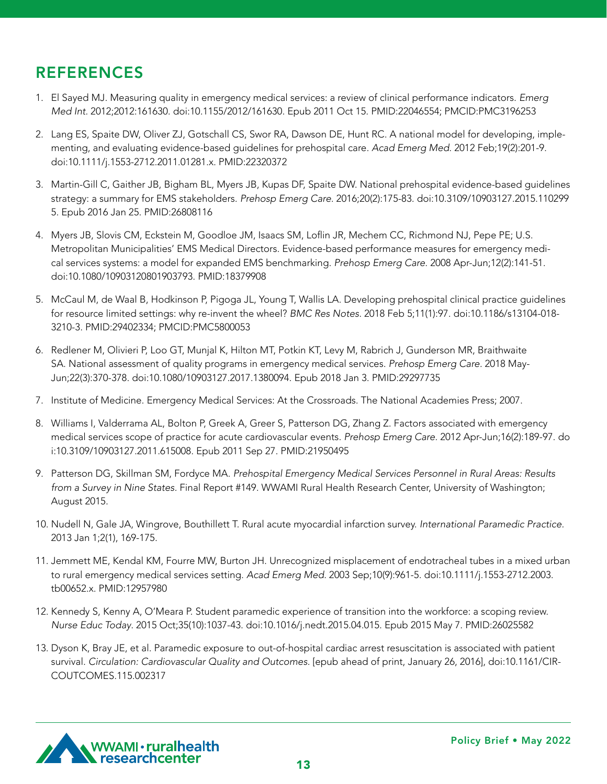# REFERENCES

- 1. El Sayed MJ. Measuring quality in emergency medical services: a review of clinical performance indicators. *Emerg Med Int.* 2012;2012:161630. doi:10.1155/2012/161630. Epub 2011 Oct 15. PMID:22046554; PMCID:PMC3196253
- 2. Lang ES, Spaite DW, Oliver ZJ, Gotschall CS, Swor RA, Dawson DE, Hunt RC. A national model for developing, implementing, and evaluating evidence-based guidelines for prehospital care. *Acad Emerg Med*. 2012 Feb;19(2):201-9. doi:10.1111/j.1553-2712.2011.01281.x. PMID:22320372
- 3. Martin-Gill C, Gaither JB, Bigham BL, Myers JB, Kupas DF, Spaite DW. National prehospital evidence-based guidelines strategy: a summary for EMS stakeholders. *Prehosp Emerg Care*. 2016;20(2):175-83. doi:10.3109/10903127.2015.110299 5. Epub 2016 Jan 25. PMID:26808116
- 4. Myers JB, Slovis CM, Eckstein M, Goodloe JM, Isaacs SM, Loflin JR, Mechem CC, Richmond NJ, Pepe PE; U.S. Metropolitan Municipalities' EMS Medical Directors. Evidence-based performance measures for emergency medical services systems: a model for expanded EMS benchmarking. *Prehosp Emerg Care*. 2008 Apr-Jun;12(2):141-51. doi:10.1080/10903120801903793. PMID:18379908
- 5. McCaul M, de Waal B, Hodkinson P, Pigoga JL, Young T, Wallis LA. Developing prehospital clinical practice guidelines for resource limited settings: why re-invent the wheel? *BMC Res Notes*. 2018 Feb 5;11(1):97. doi:10.1186/s13104-018- 3210-3. PMID:29402334; PMCID:PMC5800053
- 6. Redlener M, Olivieri P, Loo GT, Munjal K, Hilton MT, Potkin KT, Levy M, Rabrich J, Gunderson MR, Braithwaite SA. National assessment of quality programs in emergency medical services. *Prehosp Emerg Care.* 2018 May-Jun;22(3):370-378. doi:10.1080/10903127.2017.1380094. Epub 2018 Jan 3. PMID:29297735
- 7. Institute of Medicine. Emergency Medical Services: At the Crossroads. The National Academies Press; 2007.
- 8. Williams I, Valderrama AL, Bolton P, Greek A, Greer S, Patterson DG, Zhang Z. Factors associated with emergency medical services scope of practice for acute cardiovascular events. *Prehosp Emerg Care.* 2012 Apr-Jun;16(2):189-97. do i:10.3109/10903127.2011.615008. Epub 2011 Sep 27. PMID:21950495
- 9. Patterson DG, Skillman SM, Fordyce MA. *Prehospital Emergency Medical Services Personnel in Rural Areas: Results from a Survey in Nine States.* Final Report #149. WWAMI Rural Health Research Center, University of Washington; August 2015.
- 10. Nudell N, Gale JA, Wingrove, Bouthillett T. Rural acute myocardial infarction survey. *International Paramedic Practice.*  2013 Jan 1;2(1), 169-175.
- 11. Jemmett ME, Kendal KM, Fourre MW, Burton JH. Unrecognized misplacement of endotracheal tubes in a mixed urban to rural emergency medical services setting. *Acad Emerg Med.* 2003 Sep;10(9):961-5. doi:10.1111/j.1553-2712.2003. tb00652.x. PMID:12957980
- 12. Kennedy S, Kenny A, O'Meara P. Student paramedic experience of transition into the workforce: a scoping review. *Nurse Educ Today*. 2015 Oct;35(10):1037-43. doi:10.1016/j.nedt.2015.04.015. Epub 2015 May 7. PMID:26025582
- 13. Dyson K, Bray JE, et al. Paramedic exposure to out-of-hospital cardiac arrest resuscitation is associated with patient survival. *Circulation: Cardiovascular Quality and Outcomes.* [epub ahead of print, January 26, 2016], doi:10.1161/CIR-COUTCOMES.115.002317

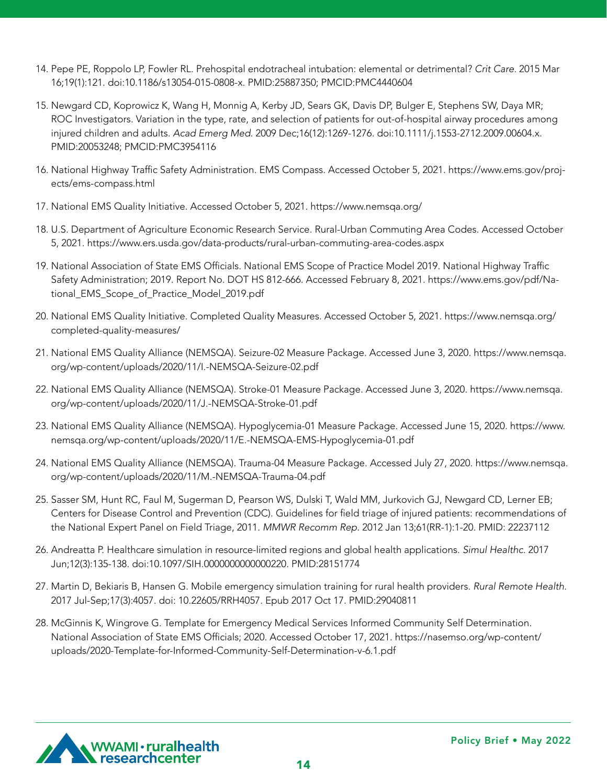- 14. Pepe PE, Roppolo LP, Fowler RL. Prehospital endotracheal intubation: elemental or detrimental? *Crit Care.* 2015 Mar 16;19(1):121. doi:10.1186/s13054-015-0808-x. PMID:25887350; PMCID:PMC4440604
- 15. Newgard CD, Koprowicz K, Wang H, Monnig A, Kerby JD, Sears GK, Davis DP, Bulger E, Stephens SW, Daya MR; ROC Investigators. Variation in the type, rate, and selection of patients for out-of-hospital airway procedures among injured children and adults. *Acad Emerg Med*. 2009 Dec;16(12):1269-1276. doi:10.1111/j.1553-2712.2009.00604.x. PMID:20053248; PMCID:PMC3954116
- 16. National Highway Traffic Safety Administration. EMS Compass. Accessed October 5, 2021. https://www.ems.gov/projects/ems-compass.html
- 17. National EMS Quality Initiative. Accessed October 5, 2021. https://www.nemsqa.org/
- 18. U.S. Department of Agriculture Economic Research Service. Rural-Urban Commuting Area Codes. Accessed October 5, 2021. https://www.ers.usda.gov/data-products/rural-urban-commuting-area-codes.aspx
- 19. National Association of State EMS Officials. National EMS Scope of Practice Model 2019. National Highway Traffic Safety Administration; 2019. Report No. DOT HS 812-666. Accessed February 8, 2021. https://www.ems.gov/pdf/National\_EMS\_Scope\_of\_Practice\_Model\_2019.pdf
- 20. National EMS Quality Initiative. Completed Quality Measures. Accessed October 5, 2021. https://www.nemsqa.org/ completed-quality-measures/
- 21. National EMS Quality Alliance (NEMSQA). Seizure-02 Measure Package. Accessed June 3, 2020. https://www.nemsqa. org/wp-content/uploads/2020/11/I.-NEMSQA-Seizure-02.pdf
- 22. National EMS Quality Alliance (NEMSQA). Stroke-01 Measure Package. Accessed June 3, 2020. https://www.nemsqa. org/wp-content/uploads/2020/11/J.-NEMSQA-Stroke-01.pdf
- 23. National EMS Quality Alliance (NEMSQA). Hypoglycemia-01 Measure Package. Accessed June 15, 2020. https://www. nemsqa.org/wp-content/uploads/2020/11/E.-NEMSQA-EMS-Hypoglycemia-01.pdf
- 24. National EMS Quality Alliance (NEMSQA). Trauma-04 Measure Package. Accessed July 27, 2020. https://www.nemsqa. org/wp-content/uploads/2020/11/M.-NEMSQA-Trauma-04.pdf
- 25. Sasser SM, Hunt RC, Faul M, Sugerman D, Pearson WS, Dulski T, Wald MM, Jurkovich GJ, Newgard CD, Lerner EB; Centers for Disease Control and Prevention (CDC). Guidelines for field triage of injured patients: recommendations of the National Expert Panel on Field Triage, 2011. *MMWR Recomm Rep.* 2012 Jan 13;61(RR-1):1-20. PMID: 22237112
- 26. Andreatta P. Healthcare simulation in resource-limited regions and global health applications. *Simul Healthc*. 2017 Jun;12(3):135-138. doi:10.1097/SIH.0000000000000220. PMID:28151774
- 27. Martin D, Bekiaris B, Hansen G. Mobile emergency simulation training for rural health providers. *Rural Remote Health.*  2017 Jul-Sep;17(3):4057. doi: 10.22605/RRH4057. Epub 2017 Oct 17. PMID:29040811
- 28. McGinnis K, Wingrove G. Template for Emergency Medical Services Informed Community Self Determination. National Association of State EMS Officials; 2020. Accessed October 17, 2021. https://nasemso.org/wp-content/ uploads/2020-Template-for-Informed-Community-Self-Determination-v-6.1.pdf

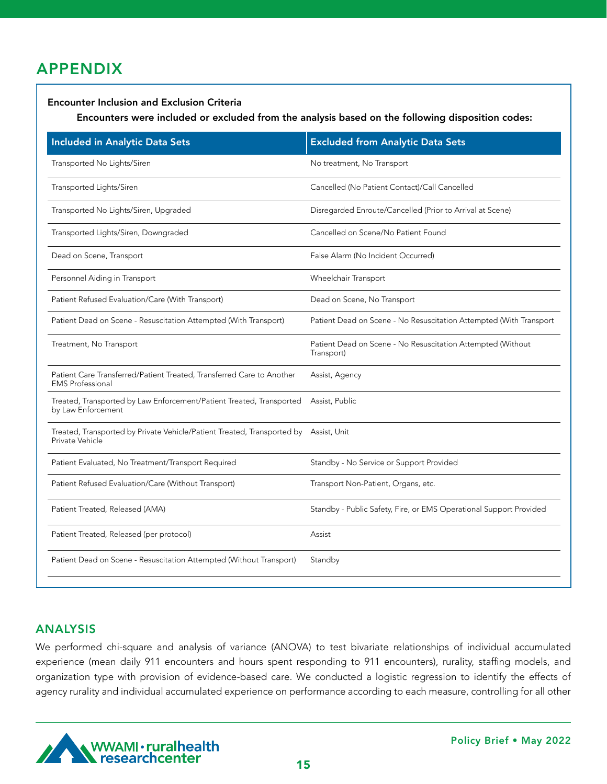# APPENDIX

#### Encounter Inclusion and Exclusion Criteria

Encounters were included or excluded from the analysis based on the following disposition codes:

| <b>Included in Analytic Data Sets</b>                                                                   | <b>Excluded from Analytic Data Sets</b>                                   |
|---------------------------------------------------------------------------------------------------------|---------------------------------------------------------------------------|
| Transported No Lights/Siren                                                                             | No treatment, No Transport                                                |
| Transported Lights/Siren                                                                                | Cancelled (No Patient Contact)/Call Cancelled                             |
| Transported No Lights/Siren, Upgraded                                                                   | Disregarded Enroute/Cancelled (Prior to Arrival at Scene)                 |
| Transported Lights/Siren, Downgraded                                                                    | Cancelled on Scene/No Patient Found                                       |
| Dead on Scene, Transport                                                                                | False Alarm (No Incident Occurred)                                        |
| Personnel Aiding in Transport                                                                           | Wheelchair Transport                                                      |
| Patient Refused Evaluation/Care (With Transport)                                                        | Dead on Scene, No Transport                                               |
| Patient Dead on Scene - Resuscitation Attempted (With Transport)                                        | Patient Dead on Scene - No Resuscitation Attempted (With Transport        |
| Treatment, No Transport                                                                                 | Patient Dead on Scene - No Resuscitation Attempted (Without<br>Transport) |
| Patient Care Transferred/Patient Treated, Transferred Care to Another<br><b>EMS</b> Professional        | Assist, Agency                                                            |
| Treated, Transported by Law Enforcement/Patient Treated, Transported<br>by Law Enforcement              | Assist, Public                                                            |
| Treated, Transported by Private Vehicle/Patient Treated, Transported by Assist, Unit<br>Private Vehicle |                                                                           |
| Patient Evaluated, No Treatment/Transport Required                                                      | Standby - No Service or Support Provided                                  |
| Patient Refused Evaluation/Care (Without Transport)                                                     | Transport Non-Patient, Organs, etc.                                       |
| Patient Treated, Released (AMA)                                                                         | Standby - Public Safety, Fire, or EMS Operational Support Provided        |
| Patient Treated, Released (per protocol)                                                                | Assist                                                                    |
| Patient Dead on Scene - Resuscitation Attempted (Without Transport)                                     | Standby                                                                   |

### ANALYSIS

We performed chi-square and analysis of variance (ANOVA) to test bivariate relationships of individual accumulated experience (mean daily 911 encounters and hours spent responding to 911 encounters), rurality, staffing models, and organization type with provision of evidence-based care. We conducted a logistic regression to identify the effects of agency rurality and individual accumulated experience on performance according to each measure, controlling for all other